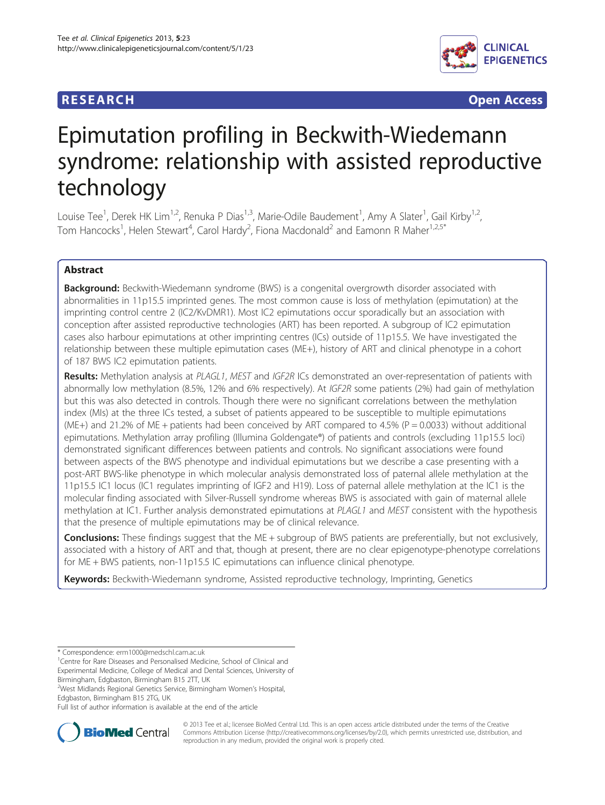## **RESEARCH RESEARCH** *CHECK CHECK CHECK CHECK CHECK CHECK CHECK CHECK CHECK CHECK CHECK CHECK CHECK CHECK CHECK CHECK CHECK CHECK CHECK CHECK CHECK CHECK CHECK CHECK CHECK CHECK CHECK CHECK CHECK CHECK CHECK CHECK CHECK*



# Epimutation profiling in Beckwith-Wiedemann syndrome: relationship with assisted reproductive technology

Louise Tee<sup>1</sup>, Derek HK Lim<sup>1,2</sup>, Renuka P Dias<sup>1,3</sup>, Marie-Odile Baudement<sup>1</sup>, Amy A Slater<sup>1</sup>, Gail Kirby<sup>1,2</sup>, Tom Hancocks<sup>1</sup>, Helen Stewart<sup>4</sup>, Carol Hardy<sup>2</sup>, Fiona Macdonald<sup>2</sup> and Eamonn R Maher<sup>1,2,5\*</sup>

## Abstract

**Background:** Beckwith-Wiedemann syndrome (BWS) is a congenital overgrowth disorder associated with abnormalities in 11p15.5 imprinted genes. The most common cause is loss of methylation (epimutation) at the imprinting control centre 2 (IC2/KvDMR1). Most IC2 epimutations occur sporadically but an association with conception after assisted reproductive technologies (ART) has been reported. A subgroup of IC2 epimutation cases also harbour epimutations at other imprinting centres (ICs) outside of 11p15.5. We have investigated the relationship between these multiple epimutation cases (ME+), history of ART and clinical phenotype in a cohort of 187 BWS IC2 epimutation patients.

Results: Methylation analysis at PLAGL1, MEST and IGF2R ICs demonstrated an over-representation of patients with abnormally low methylation (8.5%, 12% and 6% respectively). At IGF2R some patients (2%) had gain of methylation but this was also detected in controls. Though there were no significant correlations between the methylation index (MIs) at the three ICs tested, a subset of patients appeared to be susceptible to multiple epimutations (ME+) and 21.2% of ME + patients had been conceived by ART compared to 4.5% (P = 0.0033) without additional epimutations. Methylation array profiling (Illumina Goldengate®) of patients and controls (excluding 11p15.5 loci) demonstrated significant differences between patients and controls. No significant associations were found between aspects of the BWS phenotype and individual epimutations but we describe a case presenting with a post-ART BWS-like phenotype in which molecular analysis demonstrated loss of paternal allele methylation at the 11p15.5 IC1 locus (IC1 regulates imprinting of IGF2 and H19). Loss of paternal allele methylation at the IC1 is the molecular finding associated with Silver-Russell syndrome whereas BWS is associated with gain of maternal allele methylation at IC1. Further analysis demonstrated epimutations at PLAGL1 and MEST consistent with the hypothesis that the presence of multiple epimutations may be of clinical relevance.

**Conclusions:** These findings suggest that the ME + subgroup of BWS patients are preferentially, but not exclusively, associated with a history of ART and that, though at present, there are no clear epigenotype-phenotype correlations for ME + BWS patients, non-11p15.5 IC epimutations can influence clinical phenotype.

Keywords: Beckwith-Wiedemann syndrome, Assisted reproductive technology, Imprinting, Genetics

Birmingham, Edgbaston, Birmingham B15 2TT, UK

2 West Midlands Regional Genetics Service, Birmingham Women's Hospital, Edgbaston, Birmingham B15 2TG, UK

Full list of author information is available at the end of the article



© 2013 Tee et al.; licensee BioMed Central Ltd. This is an open access article distributed under the terms of the Creative Commons Attribution License [\(http://creativecommons.org/licenses/by/2.0\)](http://creativecommons.org/licenses/by/2.0), which permits unrestricted use, distribution, and reproduction in any medium, provided the original work is properly cited.

<sup>\*</sup> Correspondence: [erm1000@medschl.cam.ac.uk](mailto:erm1000@medschl.cam.ac.uk) <sup>1</sup>

<sup>&</sup>lt;sup>1</sup> Centre for Rare Diseases and Personalised Medicine, School of Clinical and Experimental Medicine, College of Medical and Dental Sciences, University of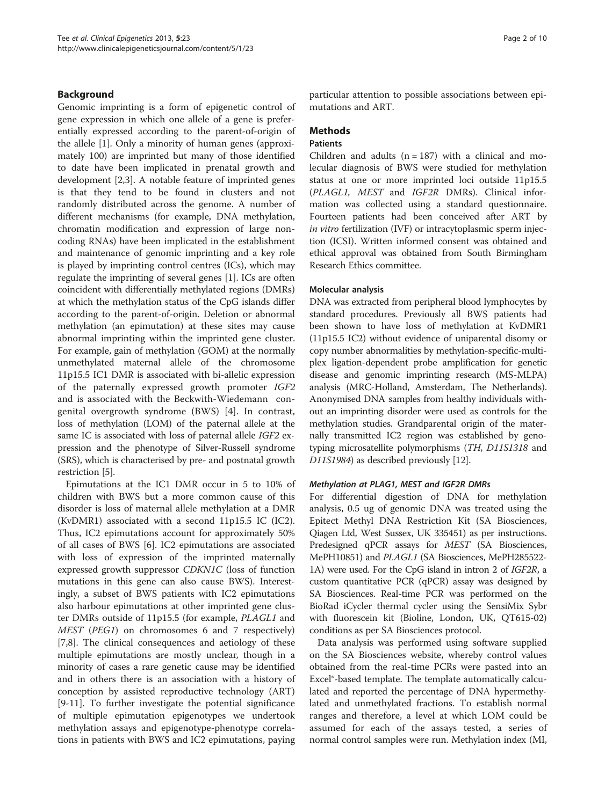## Background

Genomic imprinting is a form of epigenetic control of gene expression in which one allele of a gene is preferentially expressed according to the parent-of-origin of the allele [\[1](#page-8-0)]. Only a minority of human genes (approximately 100) are imprinted but many of those identified to date have been implicated in prenatal growth and development [[2,3\]](#page-8-0). A notable feature of imprinted genes is that they tend to be found in clusters and not randomly distributed across the genome. A number of different mechanisms (for example, DNA methylation, chromatin modification and expression of large noncoding RNAs) have been implicated in the establishment and maintenance of genomic imprinting and a key role is played by imprinting control centres (ICs), which may regulate the imprinting of several genes [[1](#page-8-0)]. ICs are often coincident with differentially methylated regions (DMRs) at which the methylation status of the CpG islands differ according to the parent-of-origin. Deletion or abnormal methylation (an epimutation) at these sites may cause abnormal imprinting within the imprinted gene cluster. For example, gain of methylation (GOM) at the normally unmethylated maternal allele of the chromosome 11p15.5 IC1 DMR is associated with bi-allelic expression of the paternally expressed growth promoter IGF2 and is associated with the Beckwith-Wiedemann congenital overgrowth syndrome (BWS) [[4\]](#page-8-0). In contrast, loss of methylation (LOM) of the paternal allele at the same IC is associated with loss of paternal allele IGF2 expression and the phenotype of Silver-Russell syndrome (SRS), which is characterised by pre- and postnatal growth restriction [\[5](#page-8-0)].

Epimutations at the IC1 DMR occur in 5 to 10% of children with BWS but a more common cause of this disorder is loss of maternal allele methylation at a DMR (KvDMR1) associated with a second 11p15.5 IC (IC2). Thus, IC2 epimutations account for approximately 50% of all cases of BWS [\[6](#page-8-0)]. IC2 epimutations are associated with loss of expression of the imprinted maternally expressed growth suppressor CDKN1C (loss of function mutations in this gene can also cause BWS). Interestingly, a subset of BWS patients with IC2 epimutations also harbour epimutations at other imprinted gene cluster DMRs outside of 11p15.5 (for example, PLAGL1 and MEST (PEG1) on chromosomes 6 and 7 respectively) [[7,8\]](#page-8-0). The clinical consequences and aetiology of these multiple epimutations are mostly unclear, though in a minority of cases a rare genetic cause may be identified and in others there is an association with a history of conception by assisted reproductive technology (ART) [[9-11](#page-8-0)]. To further investigate the potential significance of multiple epimutation epigenotypes we undertook methylation assays and epigenotype-phenotype correlations in patients with BWS and IC2 epimutations, paying

particular attention to possible associations between epimutations and ART.

## **Methods**

#### **Patients**

Children and adults  $(n = 187)$  with a clinical and molecular diagnosis of BWS were studied for methylation status at one or more imprinted loci outside 11p15.5 (PLAGL1, MEST and IGF2R DMRs). Clinical information was collected using a standard questionnaire. Fourteen patients had been conceived after ART by in vitro fertilization (IVF) or intracytoplasmic sperm injection (ICSI). Written informed consent was obtained and ethical approval was obtained from South Birmingham Research Ethics committee.

#### Molecular analysis

DNA was extracted from peripheral blood lymphocytes by standard procedures. Previously all BWS patients had been shown to have loss of methylation at KvDMR1 (11p15.5 IC2) without evidence of uniparental disomy or copy number abnormalities by methylation-specific-multiplex ligation-dependent probe amplification for genetic disease and genomic imprinting research (MS-MLPA) analysis (MRC-Holland, Amsterdam, The Netherlands). Anonymised DNA samples from healthy individuals without an imprinting disorder were used as controls for the methylation studies. Grandparental origin of the maternally transmitted IC2 region was established by genotyping microsatellite polymorphisms (TH, D11S1318 and D11S1984) as described previously [[12](#page-8-0)].

#### Methylation at PLAG1, MEST and IGF2R DMRs

For differential digestion of DNA for methylation analysis, 0.5 ug of genomic DNA was treated using the Epitect Methyl DNA Restriction Kit (SA Biosciences, Qiagen Ltd, West Sussex, UK 335451) as per instructions. Predesigned qPCR assays for MEST (SA Biosciences, MePH10851) and PLAGL1 (SA Biosciences, MePH285522- 1A) were used. For the CpG island in intron 2 of IGF2R, a custom quantitative PCR (qPCR) assay was designed by SA Biosciences. Real-time PCR was performed on the BioRad iCycler thermal cycler using the SensiMix Sybr with fluorescein kit (Bioline, London, UK, QT615-02) conditions as per SA Biosciences protocol.

Data analysis was performed using software supplied on the SA Biosciences website, whereby control values obtained from the real-time PCRs were pasted into an Excel®-based template. The template automatically calculated and reported the percentage of DNA hypermethylated and unmethylated fractions. To establish normal ranges and therefore, a level at which LOM could be assumed for each of the assays tested, a series of normal control samples were run. Methylation index (MI,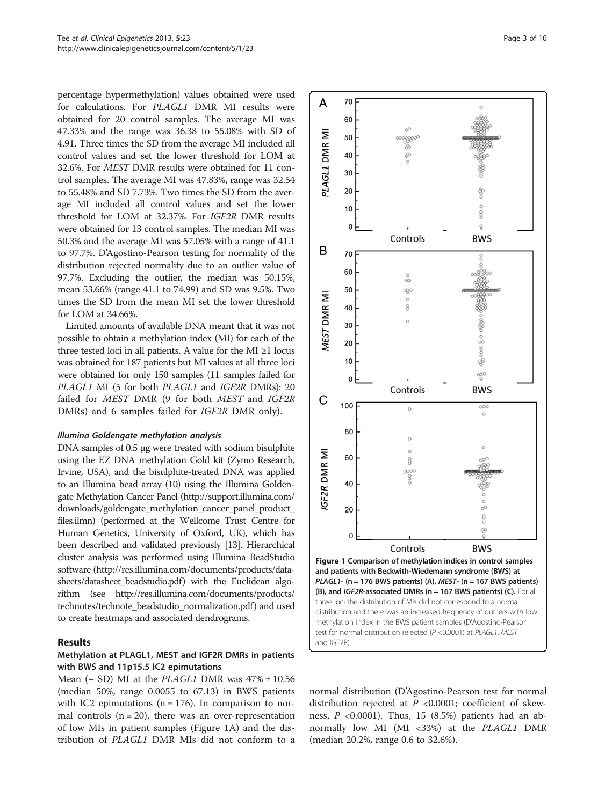<span id="page-2-0"></span>percentage hypermethylation) values obtained were used for calculations. For PLAGL1 DMR MI results were obtained for 20 control samples. The average MI was 47.33% and the range was 36.38 to 55.08% with SD of 4.91. Three times the SD from the average MI included all control values and set the lower threshold for LOM at 32.6%. For MEST DMR results were obtained for 11 control samples. The average MI was 47.83%, range was 32.54 to 55.48% and SD 7.73%. Two times the SD from the average MI included all control values and set the lower threshold for LOM at 32.37%. For IGF2R DMR results were obtained for 13 control samples. The median MI was 50.3% and the average MI was 57.05% with a range of 41.1 to 97.7%. D'Agostino-Pearson testing for normality of the distribution rejected normality due to an outlier value of 97.7%. Excluding the outlier, the median was 50.15%, mean 53.66% (range 41.1 to 74.99) and SD was 9.5%. Two times the SD from the mean MI set the lower threshold for LOM at 34.66%.

Limited amounts of available DNA meant that it was not possible to obtain a methylation index (MI) for each of the three tested loci in all patients. A value for the MI  $\geq$ 1 locus was obtained for 187 patients but MI values at all three loci were obtained for only 150 samples (11 samples failed for PLAGL1 MI (5 for both PLAGL1 and IGF2R DMRs): 20 failed for MEST DMR (9 for both MEST and IGF2R DMRs) and 6 samples failed for IGF2R DMR only).

#### Illumina Goldengate methylation analysis

DNA samples of 0.5 μg were treated with sodium bisulphite using the EZ DNA methylation Gold kit (Zymo Research, Irvine, USA), and the bisulphite-treated DNA was applied to an Illumina bead array (10) using the Illumina Goldengate Methylation Cancer Panel ([http://support.illumina.com/](http://support.illumina.com/downloads/goldengate_methylation_cancer_panel_product_files.ilmn) [downloads/goldengate\\_methylation\\_cancer\\_panel\\_product\\_](http://support.illumina.com/downloads/goldengate_methylation_cancer_panel_product_files.ilmn) [files.ilmn\)](http://support.illumina.com/downloads/goldengate_methylation_cancer_panel_product_files.ilmn) (performed at the Wellcome Trust Centre for Human Genetics, University of Oxford, UK), which has been described and validated previously [\[13\]](#page-8-0). Hierarchical cluster analysis was performed using Illumina BeadStudio software ([http://res.illumina.com/documents/products/data](http://res.illumina.com/documents/products/datasheets/datasheet_beadstudio.pdf)[sheets/datasheet\\_beadstudio.pdf](http://res.illumina.com/documents/products/datasheets/datasheet_beadstudio.pdf)) with the Euclidean algorithm (see [http://res.illumina.com/documents/products/](http://res.illumina.com/documents/products/technotes/technote_beadstudio_normalization.pdf) [technotes/technote\\_beadstudio\\_normalization.pdf](http://res.illumina.com/documents/products/technotes/technote_beadstudio_normalization.pdf)) and used to create heatmaps and associated dendrograms.

#### Results

## Methylation at PLAGL1, MEST and IGF2R DMRs in patients with BWS and 11p15.5 IC2 epimutations

Mean  $(+$  SD) MI at the *PLAGL1* DMR was  $47\% \pm 10.56$ (median 50%, range 0.0055 to 67.13) in BWS patients with IC2 epimutations ( $n = 176$ ). In comparison to normal controls  $(n = 20)$ , there was an over-representation of low MIs in patient samples (Figure 1A) and the distribution of PLAGL1 DMR MIs did not conform to a



normal distribution (D'Agostino-Pearson test for normal distribution rejected at  $P < 0.0001$ ; coefficient of skewness,  $P < 0.0001$ ). Thus, 15 (8.5%) patients had an abnormally low MI (MI <33%) at the *PLAGL1* DMR (median 20.2%, range 0.6 to 32.6%).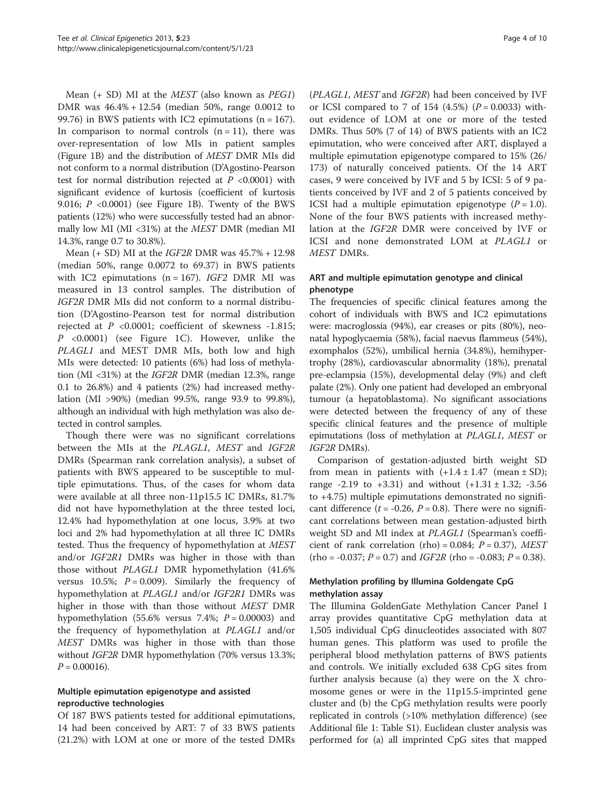Mean  $(+ SD)$  MI at the *MEST* (also known as *PEG1*) DMR was 46.4% + 12.54 (median 50%, range 0.0012 to 99.76) in BWS patients with IC2 epimutations ( $n = 167$ ). In comparison to normal controls  $(n = 11)$ , there was over-representation of low MIs in patient samples (Figure [1B](#page-2-0)) and the distribution of MEST DMR MIs did not conform to a normal distribution (D'Agostino-Pearson test for normal distribution rejected at  $P < 0.0001$ ) with significant evidence of kurtosis (coefficient of kurtosis 9.016;  $P < 0.0001$ ) (see Figure [1](#page-2-0)B). Twenty of the BWS patients (12%) who were successfully tested had an abnormally low MI (MI <31%) at the MEST DMR (median MI 14.3%, range 0.7 to 30.8%).

Mean  $(+$  SD) MI at the *IGF2R* DMR was  $45.7\% + 12.98$ (median 50%, range 0.0072 to 69.37) in BWS patients with IC2 epimutations  $(n = 167)$ . IGF2 DMR MI was measured in 13 control samples. The distribution of IGF2R DMR MIs did not conform to a normal distribution (D'Agostino-Pearson test for normal distribution rejected at P <0.0001; coefficient of skewness -1.815; P <0.0001) (see Figure [1](#page-2-0)C). However, unlike the PLAGL1 and MEST DMR MIs, both low and high MIs were detected: 10 patients (6%) had loss of methylation (MI <31%) at the IGF2R DMR (median 12.3%, range 0.1 to 26.8%) and 4 patients (2%) had increased methylation (MI >90%) (median 99.5%, range 93.9 to 99.8%), although an individual with high methylation was also detected in control samples.

Though there were was no significant correlations between the MIs at the PLAGL1, MEST and IGF2R DMRs (Spearman rank correlation analysis), a subset of patients with BWS appeared to be susceptible to multiple epimutations. Thus, of the cases for whom data were available at all three non-11p15.5 IC DMRs, 81.7% did not have hypomethylation at the three tested loci, 12.4% had hypomethylation at one locus, 3.9% at two loci and 2% had hypomethylation at all three IC DMRs tested. Thus the frequency of hypomethylation at MEST and/or IGF2R1 DMRs was higher in those with than those without PLAGL1 DMR hypomethylation (41.6% versus 10.5%;  $P = 0.009$ ). Similarly the frequency of hypomethylation at PLAGL1 and/or IGF2R1 DMRs was higher in those with than those without MEST DMR hypomethylation (55.6% versus 7.4%;  $P = 0.00003$ ) and the frequency of hypomethylation at PLAGL1 and/or MEST DMRs was higher in those with than those without IGF2R DMR hypomethylation (70% versus 13.3%;  $P = 0.00016$ .

## Multiple epimutation epigenotype and assisted reproductive technologies

Of 187 BWS patients tested for additional epimutations, 14 had been conceived by ART: 7 of 33 BWS patients (21.2%) with LOM at one or more of the tested DMRs (PLAGL1, MEST and IGF2R) had been conceived by IVF or ICSI compared to 7 of 154 (4.5%)  $(P = 0.0033)$  without evidence of LOM at one or more of the tested DMRs. Thus 50% (7 of 14) of BWS patients with an IC2 epimutation, who were conceived after ART, displayed a multiple epimutation epigenotype compared to 15% (26/ 173) of naturally conceived patients. Of the 14 ART cases, 9 were conceived by IVF and 5 by ICSI: 5 of 9 patients conceived by IVF and 2 of 5 patients conceived by ICSI had a multiple epimutation epigenotype  $(P = 1.0)$ . None of the four BWS patients with increased methylation at the IGF2R DMR were conceived by IVF or ICSI and none demonstrated LOM at PLAGL1 or MEST DMRs.

## ART and multiple epimutation genotype and clinical phenotype

The frequencies of specific clinical features among the cohort of individuals with BWS and IC2 epimutations were: macroglossia (94%), ear creases or pits (80%), neonatal hypoglycaemia (58%), facial naevus flammeus (54%), exomphalos (52%), umbilical hernia (34.8%), hemihypertrophy (28%), cardiovascular abnormality (18%), prenatal pre-eclampsia (15%), developmental delay (9%) and cleft palate (2%). Only one patient had developed an embryonal tumour (a hepatoblastoma). No significant associations were detected between the frequency of any of these specific clinical features and the presence of multiple epimutations (loss of methylation at PLAGL1, MEST or IGF2R DMRs).

Comparison of gestation-adjusted birth weight SD from mean in patients with  $(+1.4 \pm 1.47 \text{ (mean } \pm \text{ SD});$ range  $-2.19$  to  $+3.31$ ) and without  $(+1.31 \pm 1.32; -3.56)$ to +4.75) multiple epimutations demonstrated no significant difference ( $t = -0.26$ ,  $P = 0.8$ ). There were no significant correlations between mean gestation-adjusted birth weight SD and MI index at *PLAGL1* (Spearman's coefficient of rank correlation (rho) =  $0.084$ ;  $P = 0.37$ ), MEST  $(rho = -0.037; P = 0.7)$  and *IGF2R* (rho = -0.083;  $P = 0.38$ ).

## Methylation profiling by Illumina Goldengate CpG methylation assay

The Illumina GoldenGate Methylation Cancer Panel I array provides quantitative CpG methylation data at 1,505 individual CpG dinucleotides associated with 807 human genes. This platform was used to profile the peripheral blood methylation patterns of BWS patients and controls. We initially excluded 638 CpG sites from further analysis because (a) they were on the X chromosome genes or were in the 11p15.5-imprinted gene cluster and (b) the CpG methylation results were poorly replicated in controls (>10% methylation difference) (see Additional file [1](#page-7-0): Table S1). Euclidean cluster analysis was performed for (a) all imprinted CpG sites that mapped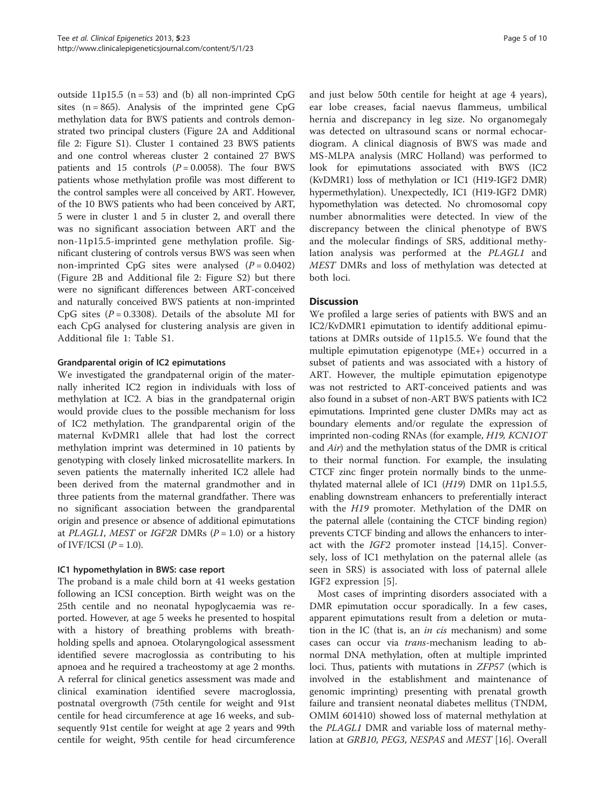outside 11p15.5 ( $n = 53$ ) and (b) all non-imprinted CpG sites  $(n = 865)$ . Analysis of the imprinted gene CpG methylation data for BWS patients and controls demonstrated two principal clusters (Figure [2](#page-6-0)A and Additional file [2](#page-7-0): Figure S1). Cluster 1 contained 23 BWS patients and one control whereas cluster 2 contained 27 BWS patients and 15 controls  $(P = 0.0058)$ . The four BWS patients whose methylation profile was most different to the control samples were all conceived by ART. However, of the 10 BWS patients who had been conceived by ART, 5 were in cluster 1 and 5 in cluster 2, and overall there was no significant association between ART and the non-11p15.5-imprinted gene methylation profile. Significant clustering of controls versus BWS was seen when non-imprinted CpG sites were analysed  $(P = 0.0402)$ (Figure [2B](#page-6-0) and Additional file [2](#page-7-0): Figure S2) but there were no significant differences between ART-conceived and naturally conceived BWS patients at non-imprinted CpG sites  $(P = 0.3308)$ . Details of the absolute MI for each CpG analysed for clustering analysis are given in Additional file [1](#page-7-0): Table S1.

#### Grandparental origin of IC2 epimutations

We investigated the grandpaternal origin of the maternally inherited IC2 region in individuals with loss of methylation at IC2. A bias in the grandpaternal origin would provide clues to the possible mechanism for loss of IC2 methylation. The grandparental origin of the maternal KvDMR1 allele that had lost the correct methylation imprint was determined in 10 patients by genotyping with closely linked microsatellite markers. In seven patients the maternally inherited IC2 allele had been derived from the maternal grandmother and in three patients from the maternal grandfather. There was no significant association between the grandparental origin and presence or absence of additional epimutations at *PLAGL1*, *MEST* or *IGF2R* DMRs  $(P = 1.0)$  or a history of IVF/ICSI  $(P = 1.0)$ .

#### IC1 hypomethylation in BWS: case report

The proband is a male child born at 41 weeks gestation following an ICSI conception. Birth weight was on the 25th centile and no neonatal hypoglycaemia was reported. However, at age 5 weeks he presented to hospital with a history of breathing problems with breathholding spells and apnoea. Otolaryngological assessment identified severe macroglossia as contributing to his apnoea and he required a tracheostomy at age 2 months. A referral for clinical genetics assessment was made and clinical examination identified severe macroglossia, postnatal overgrowth (75th centile for weight and 91st centile for head circumference at age 16 weeks, and subsequently 91st centile for weight at age 2 years and 99th centile for weight, 95th centile for head circumference and just below 50th centile for height at age 4 years), ear lobe creases, facial naevus flammeus, umbilical hernia and discrepancy in leg size. No organomegaly was detected on ultrasound scans or normal echocardiogram. A clinical diagnosis of BWS was made and MS-MLPA analysis (MRC Holland) was performed to look for epimutations associated with BWS (IC2 (KvDMR1) loss of methylation or IC1 (H19-IGF2 DMR) hypermethylation). Unexpectedly, IC1 (H19-IGF2 DMR) hypomethylation was detected. No chromosomal copy number abnormalities were detected. In view of the discrepancy between the clinical phenotype of BWS and the molecular findings of SRS, additional methylation analysis was performed at the PLAGL1 and MEST DMRs and loss of methylation was detected at both loci.

## **Discussion**

We profiled a large series of patients with BWS and an IC2/KvDMR1 epimutation to identify additional epimutations at DMRs outside of 11p15.5. We found that the multiple epimutation epigenotype (ME+) occurred in a subset of patients and was associated with a history of ART. However, the multiple epimutation epigenotype was not restricted to ART-conceived patients and was also found in a subset of non-ART BWS patients with IC2 epimutations. Imprinted gene cluster DMRs may act as boundary elements and/or regulate the expression of imprinted non-coding RNAs (for example, H19, KCN1OT and Air) and the methylation status of the DMR is critical to their normal function. For example, the insulating CTCF zinc finger protein normally binds to the unmethylated maternal allele of IC1 (H19) DMR on 11p1.5.5, enabling downstream enhancers to preferentially interact with the H19 promoter. Methylation of the DMR on the paternal allele (containing the CTCF binding region) prevents CTCF binding and allows the enhancers to interact with the IGF2 promoter instead [[14,15](#page-8-0)]. Conversely, loss of IC1 methylation on the paternal allele (as seen in SRS) is associated with loss of paternal allele IGF2 expression [[5\]](#page-8-0).

Most cases of imprinting disorders associated with a DMR epimutation occur sporadically. In a few cases, apparent epimutations result from a deletion or mutation in the IC (that is, an *in cis* mechanism) and some cases can occur via trans-mechanism leading to abnormal DNA methylation, often at multiple imprinted loci. Thus, patients with mutations in ZFP57 (which is involved in the establishment and maintenance of genomic imprinting) presenting with prenatal growth failure and transient neonatal diabetes mellitus (TNDM, OMIM 601410) showed loss of maternal methylation at the PLAGL1 DMR and variable loss of maternal methylation at GRB10, PEG3, NESPAS and MEST [[16](#page-8-0)]. Overall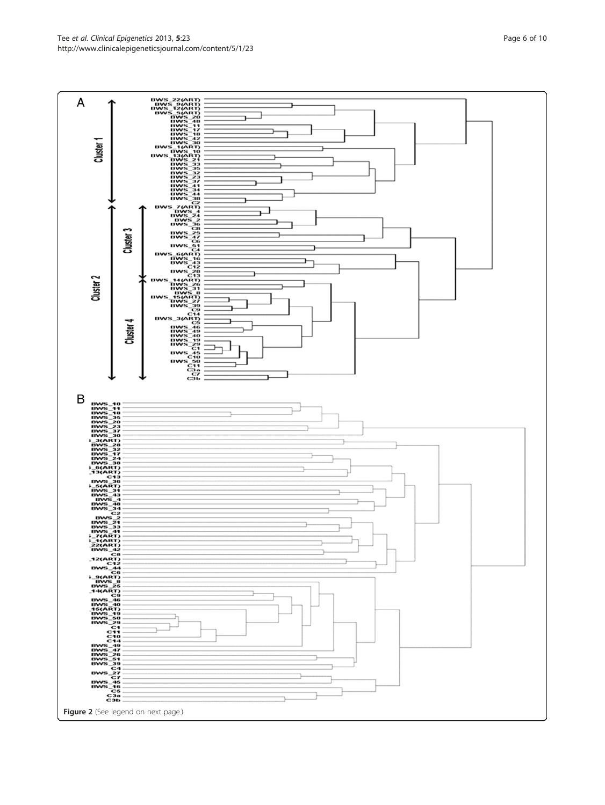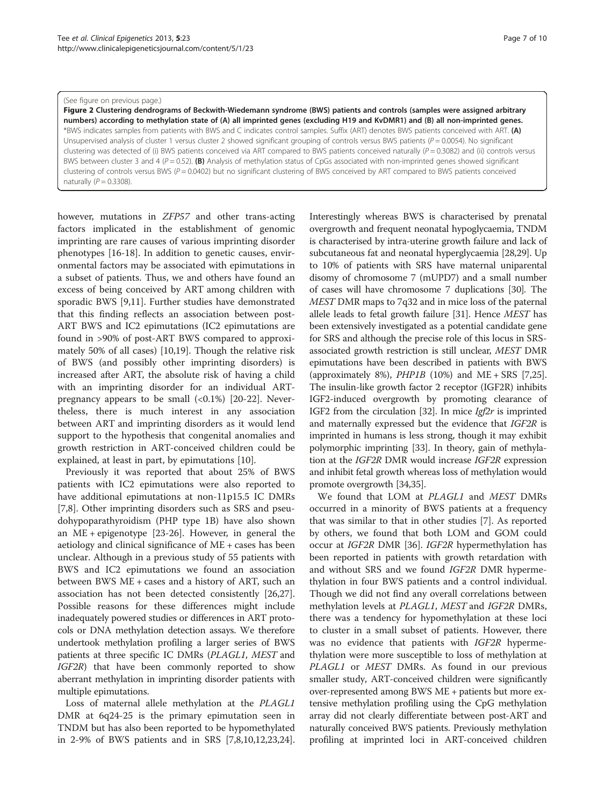#### <span id="page-6-0"></span>(See figure on previous page.)

Figure 2 Clustering dendrograms of Beckwith-Wiedemann syndrome (BWS) patients and controls (samples were assigned arbitrary numbers) according to methylation state of (A) all imprinted genes (excluding H19 and KvDMR1) and (B) all non-imprinted genes. \*BWS indicates samples from patients with BWS and C indicates control samples. Suffix (ART) denotes BWS patients conceived with ART. (A) Unsupervised analysis of cluster 1 versus cluster 2 showed significant grouping of controls versus BWS patients ( $P = 0.0054$ ). No significant clustering was detected of (i) BWS patients conceived via ART compared to BWS patients conceived naturally ( $P = 0.3082$ ) and (ii) controls versus BWS between cluster 3 and 4 ( $P = 0.52$ ). (B) Analysis of methylation status of CpGs associated with non-imprinted genes showed significant clustering of controls versus BWS ( $P = 0.0402$ ) but no significant clustering of BWS conceived by ART compared to BWS patients conceived naturally  $(P = 0.3308)$ .

however, mutations in ZFP57 and other trans-acting factors implicated in the establishment of genomic imprinting are rare causes of various imprinting disorder phenotypes [[16-18\]](#page-8-0). In addition to genetic causes, environmental factors may be associated with epimutations in a subset of patients. Thus, we and others have found an excess of being conceived by ART among children with sporadic BWS [[9](#page-8-0),[11](#page-8-0)]. Further studies have demonstrated that this finding reflects an association between post-ART BWS and IC2 epimutations (IC2 epimutations are found in >90% of post-ART BWS compared to approximately 50% of all cases) [\[10,19\]](#page-8-0). Though the relative risk of BWS (and possibly other imprinting disorders) is increased after ART, the absolute risk of having a child with an imprinting disorder for an individual ARTpregnancy appears to be small  $\langle 0.1\% \rangle$  [[20](#page-8-0)-[22\]](#page-8-0). Nevertheless, there is much interest in any association between ART and imprinting disorders as it would lend support to the hypothesis that congenital anomalies and growth restriction in ART-conceived children could be explained, at least in part, by epimutations [[10\]](#page-8-0).

Previously it was reported that about 25% of BWS patients with IC2 epimutations were also reported to have additional epimutations at non-11p15.5 IC DMRs [[7,8\]](#page-8-0). Other imprinting disorders such as SRS and pseudohypoparathyroidism (PHP type 1B) have also shown an ME + epigenotype [\[23-26](#page-8-0)]. However, in general the aetiology and clinical significance of ME + cases has been unclear. Although in a previous study of 55 patients with BWS and IC2 epimutations we found an association between BWS ME + cases and a history of ART, such an association has not been detected consistently [\[26,27](#page-8-0)]. Possible reasons for these differences might include inadequately powered studies or differences in ART protocols or DNA methylation detection assays. We therefore undertook methylation profiling a larger series of BWS patients at three specific IC DMRs (PLAGL1, MEST and IGF2R) that have been commonly reported to show aberrant methylation in imprinting disorder patients with multiple epimutations.

Loss of maternal allele methylation at the PLAGL1 DMR at 6q24-25 is the primary epimutation seen in TNDM but has also been reported to be hypomethylated in 2-9% of BWS patients and in SRS [\[7,8](#page-8-0),[10,12,23,24](#page-8-0)].

Interestingly whereas BWS is characterised by prenatal overgrowth and frequent neonatal hypoglycaemia, TNDM is characterised by intra-uterine growth failure and lack of subcutaneous fat and neonatal hyperglycaemia [\[28,29](#page-8-0)]. Up to 10% of patients with SRS have maternal uniparental disomy of chromosome 7 (mUPD7) and a small number of cases will have chromosome 7 duplications [[30](#page-8-0)]. The MEST DMR maps to 7q32 and in mice loss of the paternal allele leads to fetal growth failure [[31](#page-8-0)]. Hence MEST has been extensively investigated as a potential candidate gene for SRS and although the precise role of this locus in SRSassociated growth restriction is still unclear, MEST DMR epimutations have been described in patients with BWS (approximately 8%),  $PHP1B$  (10%) and ME + SRS [[7,25](#page-8-0)]. The insulin-like growth factor 2 receptor (IGF2R) inhibits IGF2-induced overgrowth by promoting clearance of IGF2 from the circulation [[32](#page-9-0)]. In mice  $Igf2r$  is imprinted and maternally expressed but the evidence that IGF2R is imprinted in humans is less strong, though it may exhibit polymorphic imprinting [[33](#page-9-0)]. In theory, gain of methylation at the IGF2R DMR would increase IGF2R expression and inhibit fetal growth whereas loss of methylation would promote overgrowth [\[34,35](#page-9-0)].

We found that LOM at PLAGL1 and MEST DMRs occurred in a minority of BWS patients at a frequency that was similar to that in other studies [[7\]](#page-8-0). As reported by others, we found that both LOM and GOM could occur at IGF2R DMR [\[36](#page-9-0)]. IGF2R hypermethylation has been reported in patients with growth retardation with and without SRS and we found IGF2R DMR hypermethylation in four BWS patients and a control individual. Though we did not find any overall correlations between methylation levels at PLAGL1, MEST and IGF2R DMRs, there was a tendency for hypomethylation at these loci to cluster in a small subset of patients. However, there was no evidence that patients with IGF2R hypermethylation were more susceptible to loss of methylation at PLAGL1 or MEST DMRs. As found in our previous smaller study, ART-conceived children were significantly over-represented among BWS ME + patients but more extensive methylation profiling using the CpG methylation array did not clearly differentiate between post-ART and naturally conceived BWS patients. Previously methylation profiling at imprinted loci in ART-conceived children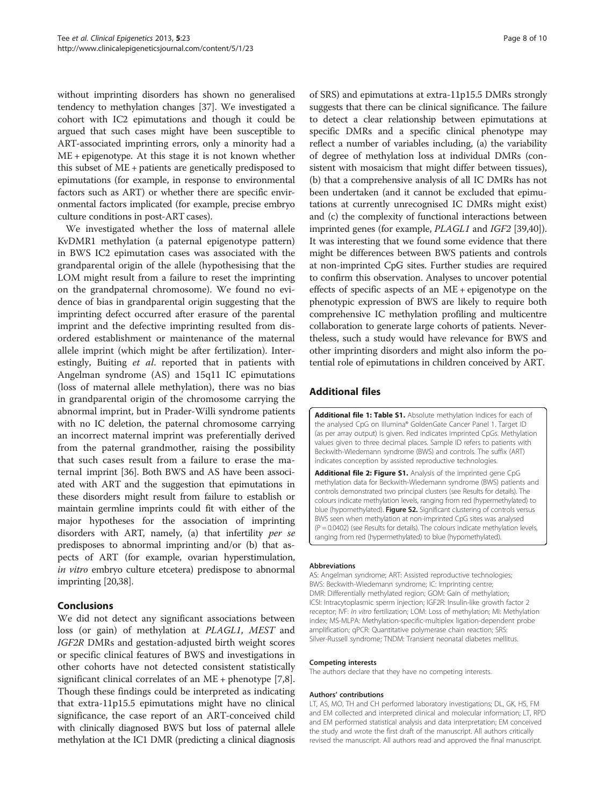<span id="page-7-0"></span>without imprinting disorders has shown no generalised tendency to methylation changes [[37](#page-9-0)]. We investigated a cohort with IC2 epimutations and though it could be argued that such cases might have been susceptible to ART-associated imprinting errors, only a minority had a ME + epigenotype. At this stage it is not known whether this subset of ME + patients are genetically predisposed to epimutations (for example, in response to environmental factors such as ART) or whether there are specific environmental factors implicated (for example, precise embryo culture conditions in post-ART cases).

We investigated whether the loss of maternal allele KvDMR1 methylation (a paternal epigenotype pattern) in BWS IC2 epimutation cases was associated with the grandparental origin of the allele (hypothesising that the LOM might result from a failure to reset the imprinting on the grandpaternal chromosome). We found no evidence of bias in grandparental origin suggesting that the imprinting defect occurred after erasure of the parental imprint and the defective imprinting resulted from disordered establishment or maintenance of the maternal allele imprint (which might be after fertilization). Interestingly, Buiting et al. reported that in patients with Angelman syndrome (AS) and 15q11 IC epimutations (loss of maternal allele methylation), there was no bias in grandparental origin of the chromosome carrying the abnormal imprint, but in Prader-Willi syndrome patients with no IC deletion, the paternal chromosome carrying an incorrect maternal imprint was preferentially derived from the paternal grandmother, raising the possibility that such cases result from a failure to erase the maternal imprint [\[36\]](#page-9-0). Both BWS and AS have been associated with ART and the suggestion that epimutations in these disorders might result from failure to establish or maintain germline imprints could fit with either of the major hypotheses for the association of imprinting disorders with ART, namely, (a) that infertility per se predisposes to abnormal imprinting and/or (b) that aspects of ART (for example, ovarian hyperstimulation, in vitro embryo culture etcetera) predispose to abnormal imprinting [\[20,](#page-8-0)[38](#page-9-0)].

## Conclusions

We did not detect any significant associations between loss (or gain) of methylation at PLAGL1, MEST and IGF2R DMRs and gestation-adjusted birth weight scores or specific clinical features of BWS and investigations in other cohorts have not detected consistent statistically significant clinical correlates of an ME + phenotype [\[7,8](#page-8-0)]. Though these findings could be interpreted as indicating that extra-11p15.5 epimutations might have no clinical significance, the case report of an ART-conceived child with clinically diagnosed BWS but loss of paternal allele methylation at the IC1 DMR (predicting a clinical diagnosis

of SRS) and epimutations at extra-11p15.5 DMRs strongly suggests that there can be clinical significance. The failure to detect a clear relationship between epimutations at specific DMRs and a specific clinical phenotype may reflect a number of variables including, (a) the variability of degree of methylation loss at individual DMRs (consistent with mosaicism that might differ between tissues), (b) that a comprehensive analysis of all IC DMRs has not been undertaken (and it cannot be excluded that epimutations at currently unrecognised IC DMRs might exist) and (c) the complexity of functional interactions between imprinted genes (for example, PLAGL1 and IGF2 [\[39,40](#page-9-0)]). It was interesting that we found some evidence that there might be differences between BWS patients and controls at non-imprinted CpG sites. Further studies are required to confirm this observation. Analyses to uncover potential effects of specific aspects of an ME + epigenotype on the phenotypic expression of BWS are likely to require both comprehensive IC methylation profiling and multicentre collaboration to generate large cohorts of patients. Nevertheless, such a study would have relevance for BWS and other imprinting disorders and might also inform the potential role of epimutations in children conceived by ART.

## Additional files

[Additional file 1: Table S1.](http://www.biomedcentral.com/content/supplementary/1868-7083-5-23-S1.pdf) Absolute methylation indices for each of the analysed CpG on Illumina® GoldenGate Cancer Panel 1. Target ID (as per array output) is given. Red indicates imprinted CpGs. Methylation values given to three decimal places. Sample ID refers to patients with Beckwith-Wiedemann syndrome (BWS) and controls. The suffix (ART) indicates conception by assisted reproductive technologies.

[Additional file 2: Figure S1.](http://www.biomedcentral.com/content/supplementary/1868-7083-5-23-S2.pdf) Analysis of the imprinted gene CpG methylation data for Beckwith-Wiedemann syndrome (BWS) patients and controls demonstrated two principal clusters (see [Results](#page-2-0) for details). The colours indicate methylation levels, ranging from red (hypermethylated) to blue (hypomethylated). Figure S2. Significant clustering of controls versus BWS seen when methylation at non-imprinted CpG sites was analysed  $(P = 0.0402)$  (see [Results](#page-2-0) for details). The colours indicate methylation levels, ranging from red (hypermethylated) to blue (hypomethylated).

#### Abbreviations

AS: Angelman syndrome; ART: Assisted reproductive technologies; BWS: Beckwith-Wiedemann syndrome; IC: Imprinting centre; DMR: Differentially methylated region; GOM: Gain of methylation; ICSI: Intracytoplasmic sperm injection; IGF2R: Insulin-like growth factor 2 receptor; IVF: In vitro fertilization; LOM: Loss of methylation; MI: Methylation index; MS-MLPA: Methylation-specific-multiplex ligation-dependent probe amplification; qPCR: Quantitative polymerase chain reaction; SRS: Silver-Russell syndrome; TNDM: Transient neonatal diabetes mellitus.

#### Competing interests

The authors declare that they have no competing interests.

#### Authors' contributions

LT, AS, MO, TH and CH performed laboratory investigations; DL, GK, HS, FM and EM collected and interpreted clinical and molecular information; LT, RPD and EM performed statistical analysis and data interpretation; EM conceived the study and wrote the first draft of the manuscript. All authors critically revised the manuscript. All authors read and approved the final manuscript.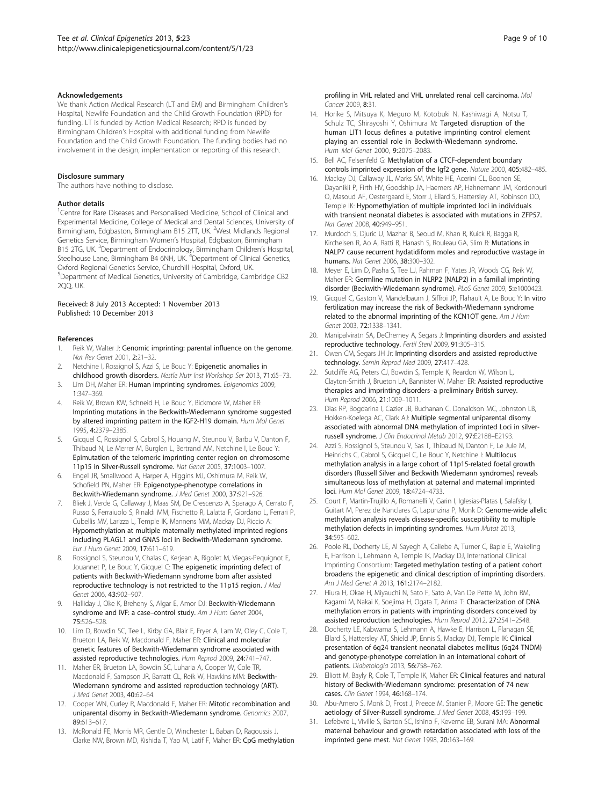#### <span id="page-8-0"></span>Acknowledgements

We thank Action Medical Research (LT and EM) and Birmingham Children's Hospital, Newlife Foundation and the Child Growth Foundation (RPD) for funding. LT is funded by Action Medical Research; RPD is funded by Birmingham Children's Hospital with additional funding from Newlife Foundation and the Child Growth Foundation. The funding bodies had no involvement in the design, implementation or reporting of this research.

#### Disclosure summary

The authors have nothing to disclose.

#### Author details

<sup>1</sup> Centre for Rare Diseases and Personalised Medicine, School of Clinical and Experimental Medicine, College of Medical and Dental Sciences, University of Birmingham, Edgbaston, Birmingham B15 2TT, UK. <sup>2</sup>West Midlands Regional Genetics Service, Birmingham Women's Hospital, Edgbaston, Birmingham B15 2TG, UK.<sup>3</sup> Department of Endocrinology, Birmingham Children's Hospital, Steelhouse Lane, Birmingham B4 6NH, UK. <sup>4</sup>Department of Clinical Genetics, Oxford Regional Genetics Service, Churchill Hospital, Oxford, UK. 5 Department of Medical Genetics, University of Cambridge, Cambridge CB2 2QQ, UK.

#### Received: 8 July 2013 Accepted: 1 November 2013 Published: 10 December 2013

#### References

- Reik W, Walter J: Genomic imprinting: parental influence on the genome. Nat Rev Genet 2001, 2:21–32.
- 2. Netchine I, Rossignol S, Azzi S, Le Bouc Y: Epigenetic anomalies in childhood growth disorders. Nestle Nutr Inst Workshop Ser 2013, 71:65–73.
- 3. Lim DH, Maher ER: Human imprinting syndromes. Epigenomics 2009, 1:347–369.
- 4. Reik W, Brown KW, Schneid H, Le Bouc Y, Bickmore W, Maher ER: Imprinting mutations in the Beckwith-Wiedemann syndrome suggested by altered imprinting pattern in the IGF2-H19 domain. Hum Mol Genet 1995, 4:2379–2385.
- Gicquel C, Rossignol S, Cabrol S, Houang M, Steunou V, Barbu V, Danton F, Thibaud N, Le Merrer M, Burglen L, Bertrand AM, Netchine I, Le Bouc Y: Epimutation of the telomeric imprinting center region on chromosome 11p15 in Silver-Russell syndrome. Nat Genet 2005, 37:1003–1007.
- 6. Engel JR, Smallwood A, Harper A, Higgins MJ, Oshimura M, Reik W, Schofield PN, Maher ER: Epigenotype-phenotype correlations in Beckwith-Wiedemann syndrome. J Med Genet 2000, 37:921–926.
- Bliek J, Verde G, Callaway J, Maas SM, De Crescenzo A, Sparago A, Cerrato F, Russo S, Ferraiuolo S, Rinaldi MM, Fischetto R, Lalatta F, Giordano L, Ferrari P, Cubellis MV, Larizza L, Temple IK, Mannens MM, Mackay DJ, Riccio A: Hypomethylation at multiple maternally methylated imprinted regions including PLAGL1 and GNAS loci in Beckwith-Wiedemann syndrome. Eur J Hum Genet 2009, 17:611–619.
- 8. Rossignol S, Steunou V, Chalas C, Kerjean A, Rigolet M, Viegas-Pequignot E, Jouannet P, Le Bouc Y, Gicquel C: The epigenetic imprinting defect of patients with Beckwith-Wiedemann syndrome born after assisted reproductive technology is not restricted to the 11p15 region. J Med Genet 2006, 43:902–907.
- 9. Halliday J, Oke K, Breheny S, Algar E, Amor DJ: Beckwith-Wiedemann syndrome and IVF: a case-control study. Am J Hum Genet 2004, 75:526–528.
- 10. Lim D, Bowdin SC, Tee L, Kirby GA, Blair E, Fryer A, Lam W, Oley C, Cole T, Brueton LA, Reik W, Macdonald F, Maher ER: Clinical and molecular genetic features of Beckwith-Wiedemann syndrome associated with assisted reproductive technologies. Hum Reprod 2009, 24:741–747.
- 11. Maher ER, Brueton LA, Bowdin SC, Luharia A, Cooper W, Cole TR, Macdonald F, Sampson JR, Barratt CL, Reik W, Hawkins MM: Beckwith-Wiedemann syndrome and assisted reproduction technology (ART). J Med Genet 2003, 40:62–64.
- 12. Cooper WN, Curley R, Macdonald F, Maher ER: Mitotic recombination and uniparental disomy in Beckwith-Wiedemann syndrome. Genomics 2007, 89:613–617.
- 13. McRonald FE, Morris MR, Gentle D, Winchester L, Baban D, Ragoussis J, Clarke NW, Brown MD, Kishida T, Yao M, Latif F, Maher ER: CpG methylation

profiling in VHL related and VHL unrelated renal cell carcinoma. Mol Cancer 2009, 8:31.

- 14. Horike S, Mitsuya K, Meguro M, Kotobuki N, Kashiwagi A, Notsu T, Schulz TC, Shirayoshi Y, Oshimura M: Targeted disruption of the human LIT1 locus defines a putative imprinting control element playing an essential role in Beckwith-Wiedemann syndrome. Hum Mol Genet 2000, 9:2075–2083.
- 15. Bell AC, Felsenfeld G: Methylation of a CTCF-dependent boundary controls imprinted expression of the Igf2 gene. Nature 2000, 405:482–485.
- 16. Mackay DJ, Callaway JL, Marks SM, White HE, Acerini CL, Boonen SE, Dayanikli P, Firth HV, Goodship JA, Haemers AP, Hahnemann JM, Kordonouri O, Masoud AF, Oestergaard E, Storr J, Ellard S, Hattersley AT, Robinson DO, Temple IK: Hypomethylation of multiple imprinted loci in individuals with transient neonatal diabetes is associated with mutations in ZFP57. Nat Genet 2008, 40:949–951.
- 17. Murdoch S, Djuric U, Mazhar B, Seoud M, Khan R, Kuick R, Bagga R, Kircheisen R, Ao A, Ratti B, Hanash S, Rouleau GA, Slim R: Mutations in NALP7 cause recurrent hydatidiform moles and reproductive wastage in humans. Nat Genet 2006, 38:300–302.
- 18. Meyer E, Lim D, Pasha S, Tee LJ, Rahman F, Yates JR, Woods CG, Reik W, Maher ER: Germline mutation in NLRP2 (NALP2) in a familial imprinting disorder (Beckwith-Wiedemann syndrome). PLoS Genet 2009, 5:e1000423.
- 19. Gicquel C, Gaston V, Mandelbaum J, Siffroi JP, Flahault A, Le Bouc Y: In vitro fertilization may increase the risk of Beckwith-Wiedemann syndrome related to the abnormal imprinting of the KCN1OT gene. Am J Hum Genet 2003, 72:1338–1341.
- 20. Manipalviratn SA, DeCherney A, Segars J: Imprinting disorders and assisted reproductive technology. Fertil Steril 2009, 91:305–315.
- 21. Owen CM, Segars JH Jr: Imprinting disorders and assisted reproductive technology. Semin Reprod Med 2009, 27:417–428.
- 22. Sutcliffe AG, Peters CJ, Bowdin S, Temple K, Reardon W, Wilson L, Clayton-Smith J, Brueton LA, Bannister W, Maher ER: Assisted reproductive therapies and imprinting disorders–a preliminary British survey. Hum Reprod 2006, 21:1009–1011.
- 23. Dias RP, Bogdarina I, Cazier JB, Buchanan C, Donaldson MC, Johnston LB, Hokken-Koelega AC, Clark AJ: Multiple segmental uniparental disomy associated with abnormal DNA methylation of imprinted Loci in silverrussell syndrome. J Clin Endocrinol Metab 2012, 97:E2188–E2193.
- 24. Azzi S, Rossignol S, Steunou V, Sas T, Thibaud N, Danton F, Le Jule M, Heinrichs C, Cabrol S, Gicquel C, Le Bouc Y, Netchine I: Multilocus methylation analysis in a large cohort of 11p15-related foetal growth disorders (Russell Silver and Beckwith Wiedemann syndromes) reveals simultaneous loss of methylation at paternal and maternal imprinted loci. Hum Mol Genet 2009, 18:4724–4733.
- 25. Court F, Martin-Trujillo A, Romanelli V, Garin I, Iglesias-Platas I, Salafsky I, Guitart M, Perez de Nanclares G, Lapunzina P, Monk D: Genome-wide allelic methylation analysis reveals disease-specific susceptibility to multiple methylation defects in imprinting syndromes. Hum Mutat 2013, 34:595–602.
- 26. Poole RL, Docherty LE, Al Sayegh A, Caliebe A, Turner C, Baple E, Wakeling E, Harrison L, Lehmann A, Temple IK, Mackay DJ, International Clinical Imprinting Consortium: Targeted methylation testing of a patient cohort broadens the epigenetic and clinical description of imprinting disorders. Am J Med Genet A 2013, 161:2174–2182.
- 27. Hiura H, Okae H, Miyauchi N, Sato F, Sato A, Van De Pette M, John RM, Kagami M, Nakai K, Soejima H, Ogata T, Arima T: Characterization of DNA methylation errors in patients with imprinting disorders conceived by assisted reproduction technologies. Hum Reprod 2012, 27:2541–2548.
- 28. Docherty LE, Kabwama S, Lehmann A, Hawke E, Harrison L, Flanagan SE, Ellard S, Hattersley AT, Shield JP, Ennis S, Mackay DJ, Temple IK: Clinical presentation of 6q24 transient neonatal diabetes mellitus (6q24 TNDM) and genotype-phenotype correlation in an international cohort of patients. Diabetologia 2013, 56:758–762.
- 29. Elliott M, Bayly R, Cole T, Temple IK, Maher ER: Clinical features and natural history of Beckwith-Wiedemann syndrome: presentation of 74 new cases. Clin Genet 1994, 46:168–174.
- Abu-Amero S, Monk D, Frost J, Preece M, Stanier P, Moore GE: The genetic aetiology of Silver-Russell syndrome. J Med Genet 2008, 45:193-199.
- 31. Lefebvre L, Viville S, Barton SC, Ishino F, Keverne EB, Surani MA: Abnormal maternal behaviour and growth retardation associated with loss of the imprinted gene mest. Nat Genet 1998, 20:163–169.